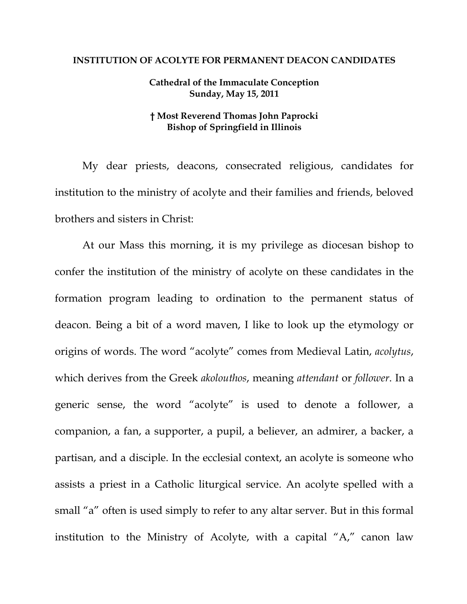## **INSTITUTION OF ACOLYTE FOR PERMANENT DEACON CANDIDATES**

## **Cathedral of the Immaculate Conception Sunday, May 15, 2011**

## **† Most Reverend Thomas John Paprocki Bishop of Springfield in Illinois**

My dear priests, deacons, consecrated religious, candidates for institution to the ministry of acolyte and their families and friends, beloved brothers and sisters in Christ:

At our Mass this morning, it is my privilege as diocesan bishop to confer the institution of the ministry of acolyte on these candidates in the formation program leading to ordination to the permanent status of deacon. Being a bit of a word maven, I like to look up the etymology or origins of words. The word "acolyte" comes from Medieval Latin, *acolytus*, which derives from the Greek *akolouthos*, meaning *attendant* or *follower*. In a generic sense, the word "acolyte" is used to denote a follower, a companion, a fan, a supporter, a pupil, a believer, an admirer, a backer, a partisan, and a disciple. In the ecclesial context, an acolyte is someone who assists a priest in a Catholic liturgical service. An acolyte spelled with a small "a" often is used simply to refer to any altar server. But in this formal institution to the Ministry of Acolyte, with a capital "A," canon law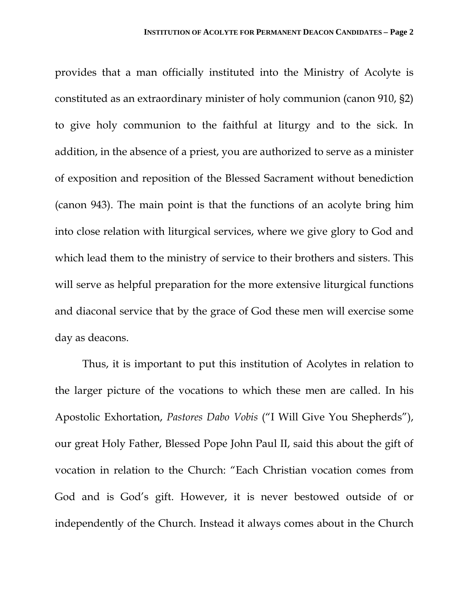provides that a man officially instituted into the Ministry of Acolyte is constituted as an extraordinary minister of holy communion (canon 910, §2) to give holy communion to the faithful at liturgy and to the sick. In addition, in the absence of a priest, you are authorized to serve as a minister of exposition and reposition of the Blessed Sacrament without benediction (canon 943). The main point is that the functions of an acolyte bring him into close relation with liturgical services, where we give glory to God and which lead them to the ministry of service to their brothers and sisters. This will serve as helpful preparation for the more extensive liturgical functions and diaconal service that by the grace of God these men will exercise some day as deacons.

Thus, it is important to put this institution of Acolytes in relation to the larger picture of the vocations to which these men are called. In his Apostolic Exhortation, *Pastores Dabo Vobis* ("I Will Give You Shepherds"), our great Holy Father, Blessed Pope John Paul II, said this about the gift of vocation in relation to the Church: "Each Christian vocation comes from God and is God's gift. However, it is never bestowed outside of or independently of the Church. Instead it always comes about in the Church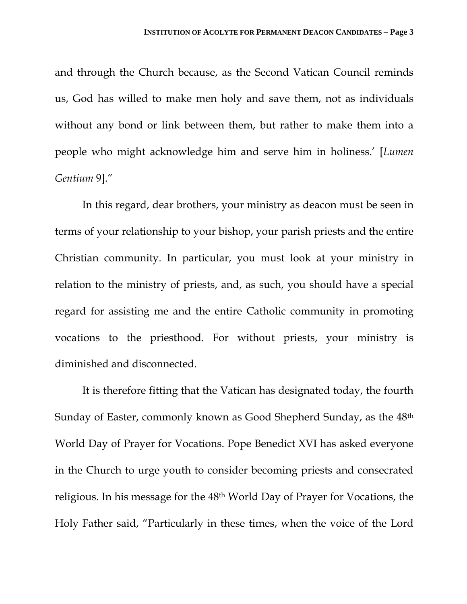and through the Church because, as the Second Vatican Council reminds us, God has willed to make men holy and save them, not as individuals without any bond or link between them, but rather to make them into a people who might acknowledge him and serve him in holiness.' [*Lumen Gentium* 9]."

In this regard, dear brothers, your ministry as deacon must be seen in terms of your relationship to your bishop, your parish priests and the entire Christian community. In particular, you must look at your ministry in relation to the ministry of priests, and, as such, you should have a special regard for assisting me and the entire Catholic community in promoting vocations to the priesthood. For without priests, your ministry is diminished and disconnected.

It is therefore fitting that the Vatican has designated today, the fourth Sunday of Easter, commonly known as Good Shepherd Sunday, as the 48th World Day of Prayer for Vocations. Pope Benedict XVI has asked everyone in the Church to urge youth to consider becoming priests and consecrated religious. In his message for the 48th World Day of Prayer for Vocations, the Holy Father said, "Particularly in these times, when the voice of the Lord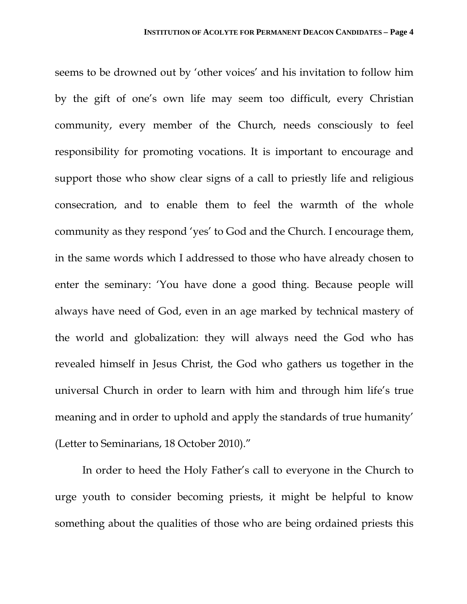seems to be drowned out by 'other voices' and his invitation to follow him by the gift of one's own life may seem too difficult, every Christian community, every member of the Church, needs consciously to feel responsibility for promoting vocations. It is important to encourage and support those who show clear signs of a call to priestly life and religious consecration, and to enable them to feel the warmth of the whole community as they respond 'yes' to God and the Church. I encourage them, in the same words which I addressed to those who have already chosen to enter the seminary: 'You have done a good thing. Because people will always have need of God, even in an age marked by technical mastery of the world and globalization: they will always need the God who has revealed himself in Jesus Christ, the God who gathers us together in the universal Church in order to learn with him and through him life's true meaning and in order to uphold and apply the standards of true humanity' (Letter to Seminarians, 18 October 2010)."

In order to heed the Holy Father's call to everyone in the Church to urge youth to consider becoming priests, it might be helpful to know something about the qualities of those who are being ordained priests this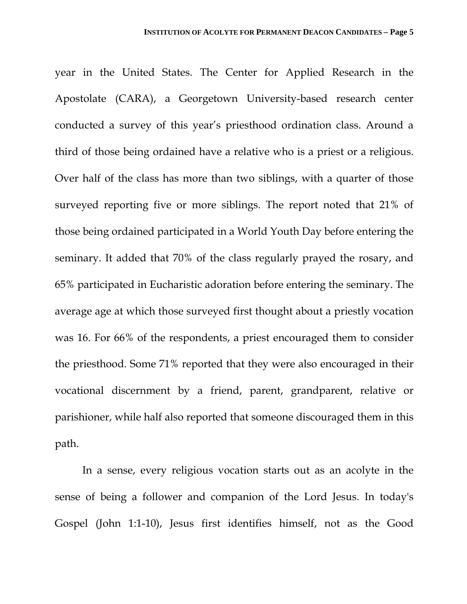year in the United States. The Center for Applied Research in the Apostolate (CARA), a Georgetown University-based research center conducted a survey of this year's priesthood ordination class. Around a third of those being ordained have a relative who is a priest or a religious. Over half of the class has more than two siblings, with a quarter of those surveyed reporting five or more siblings. The report noted that 21% of those being ordained participated in a World Youth Day before entering the seminary. It added that 70% of the class regularly prayed the rosary, and 65% participated in Eucharistic adoration before entering the seminary. The average age at which those surveyed first thought about a priestly vocation was 16. For 66% of the respondents, a priest encouraged them to consider the priesthood. Some 71% reported that they were also encouraged in their vocational discernment by a friend, parent, grandparent, relative or parishioner, while half also reported that someone discouraged them in this path.

In a sense, every religious vocation starts out as an acolyte in the sense of being a follower and companion of the Lord Jesus. In today's Gospel (John 1:1-10), Jesus first identifies himself, not as the Good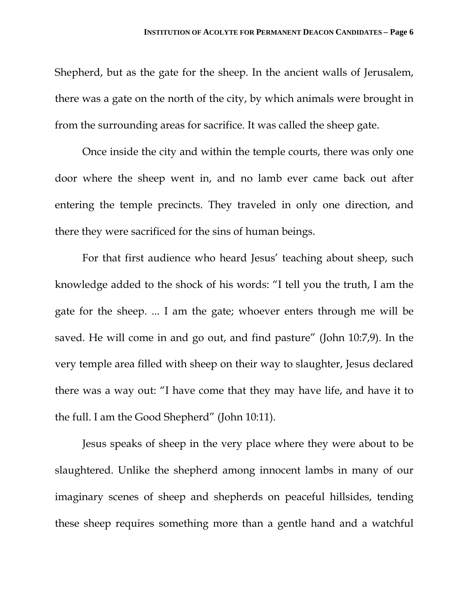Shepherd, but as the gate for the sheep. In the ancient walls of Jerusalem, there was a gate on the north of the city, by which animals were brought in from the surrounding areas for sacrifice. It was called the sheep gate.

Once inside the city and within the temple courts, there was only one door where the sheep went in, and no lamb ever came back out after entering the temple precincts. They traveled in only one direction, and there they were sacrificed for the sins of human beings.

For that first audience who heard Jesus' teaching about sheep, such knowledge added to the shock of his words: "I tell you the truth, I am the gate for the sheep. ... I am the gate; whoever enters through me will be saved. He will come in and go out, and find pasture" (John 10:7,9). In the very temple area filled with sheep on their way to slaughter, Jesus declared there was a way out: "I have come that they may have life, and have it to the full. I am the Good Shepherd" (John 10:11).

Jesus speaks of sheep in the very place where they were about to be slaughtered. Unlike the shepherd among innocent lambs in many of our imaginary scenes of sheep and shepherds on peaceful hillsides, tending these sheep requires something more than a gentle hand and a watchful